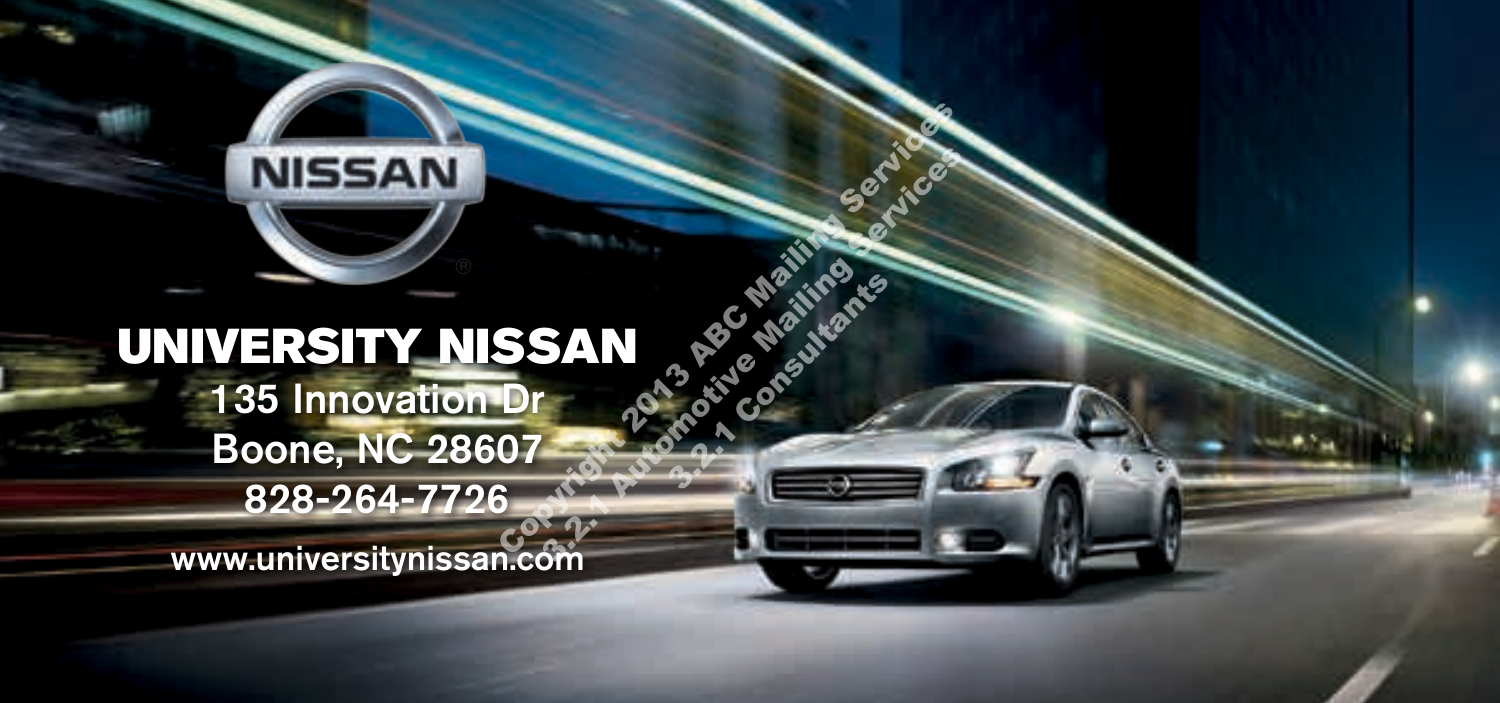# UNIVERSITY NISSAN 135 Innovation Dr Boone, NC 28607 828-264-7726 Copyright 2013 ABC Mailing Services **SAN** Automotive Mailing Services

**NISSAN** 

3.2.1 Consultants

www.universitynissan.com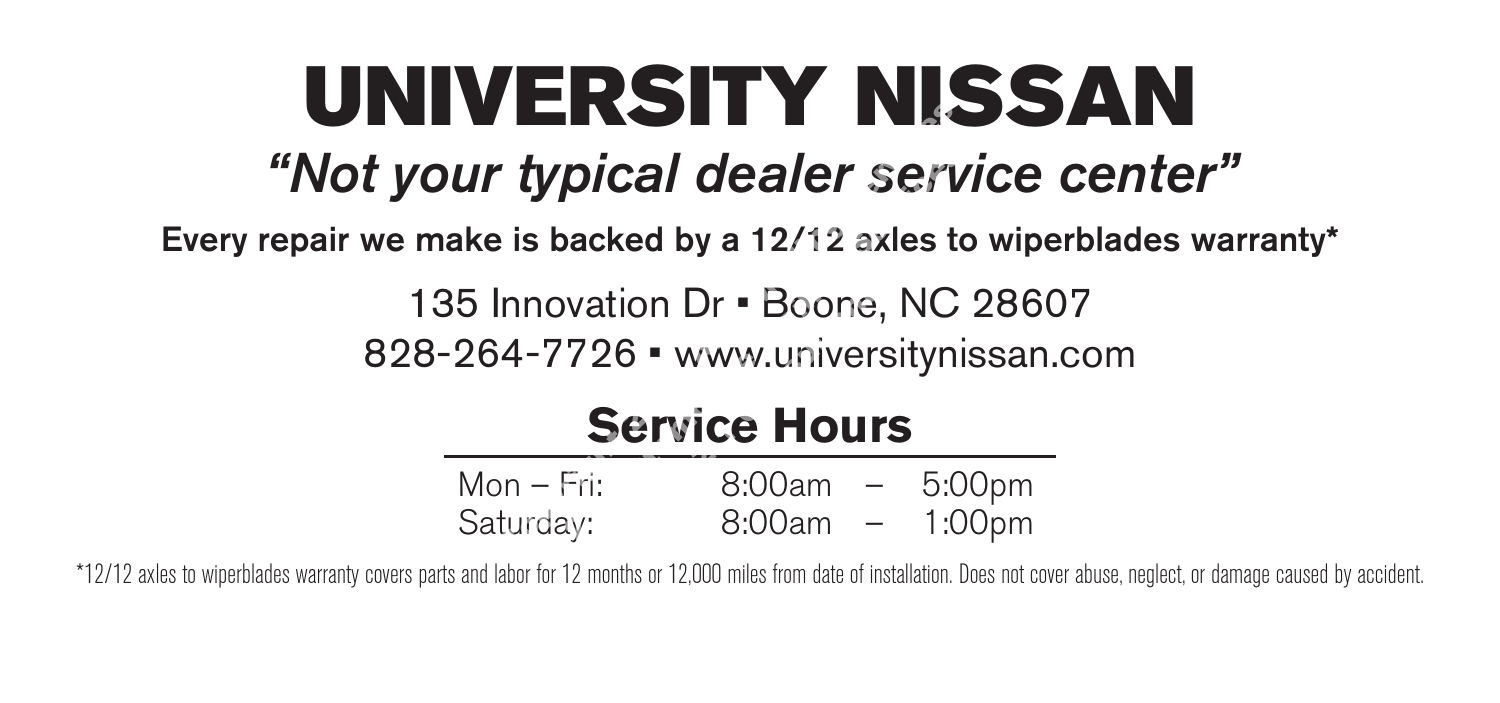# UNIVERSITY NISSAN Comptes 1<br>
Compteted by a 12/12 axles to<br>
Innovation Dr • Boone, NC 2<br>
4-7726 • www.universitynis<br>
Service Hours<br>
Dn – Fri: 8:00am – 5:00<br>
Burday: 8:00am – 1:00

Every repair we make is backed by a 12/12 axles to wiperblades warranty\*

**"Not your typical dealer service center"**<br> **"**epair we make is backed by a 12/12 axles to wiperblades wa<br>
135 Innovation Dr • Boone, NC 28607<br>
828-264-7726 • www.universitynissan.com<br> **Service Hours**<br>
Mon – Fri: 8:00am – 135 Innovation Dr • Boone, NC 28607 828-264-7726 • www.universitynissan.com  $3.2 \text{V} \cdot \text{Boone},$ <br> **3.2.1 Consultants** 

# **Service Hours**

| Mon – Fri: | 8:00am | $\qquad \qquad -$ | 5:00pm |
|------------|--------|-------------------|--------|
| Saturday:  | 8:00am |                   | 1:00pm |

\*12/12 axles to wiperblades warranty covers parts and labor for 12 months or 12,000 miles from date of installation. Does not cover abuse, neglect, or damage caused by accident.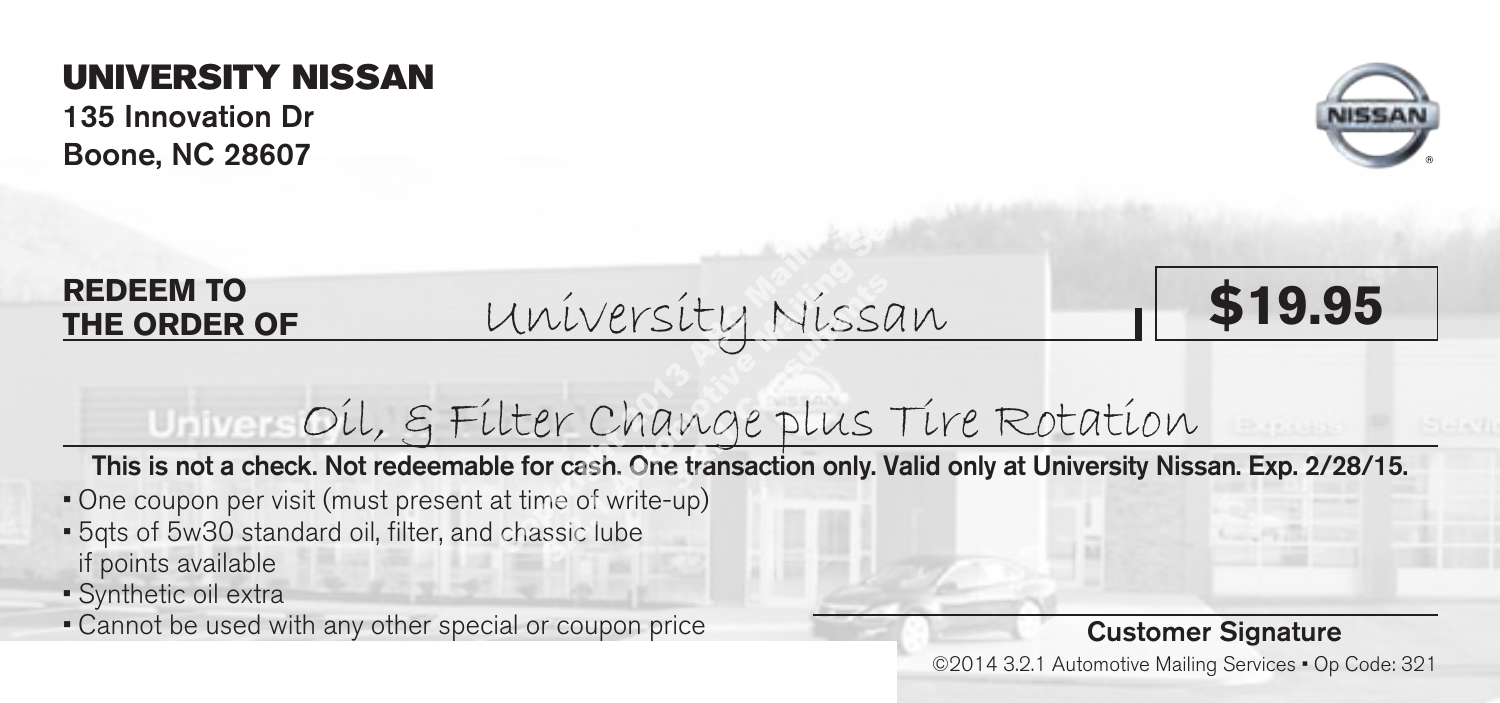135 Innovation Dr Boone, NC 28607



#### **REDEEM TO THE ORDER OF**

University Nissan **\$19.95** Iniversity Nissan<br>Comparation of the Change Plus Tire<br>of the Change Plus Tire<br>of write-up)<br>chassic lube sity Nissi<br>Imge plus<br>Etransaction only. I



# Oil, & Filter Change plus Tire Rotation

This is not a check. Not redeemable for cash. One transaction only. Valid only at University Nissan. Exp. 2/28/15.

- One coupon per visit (must present at time of write-up)
- 5qts of 5w30 standard oil, filter, and chassic lube if points available
- Synthetic oil extra
- Cannot be used with any other special or coupon price

#### Customer Signature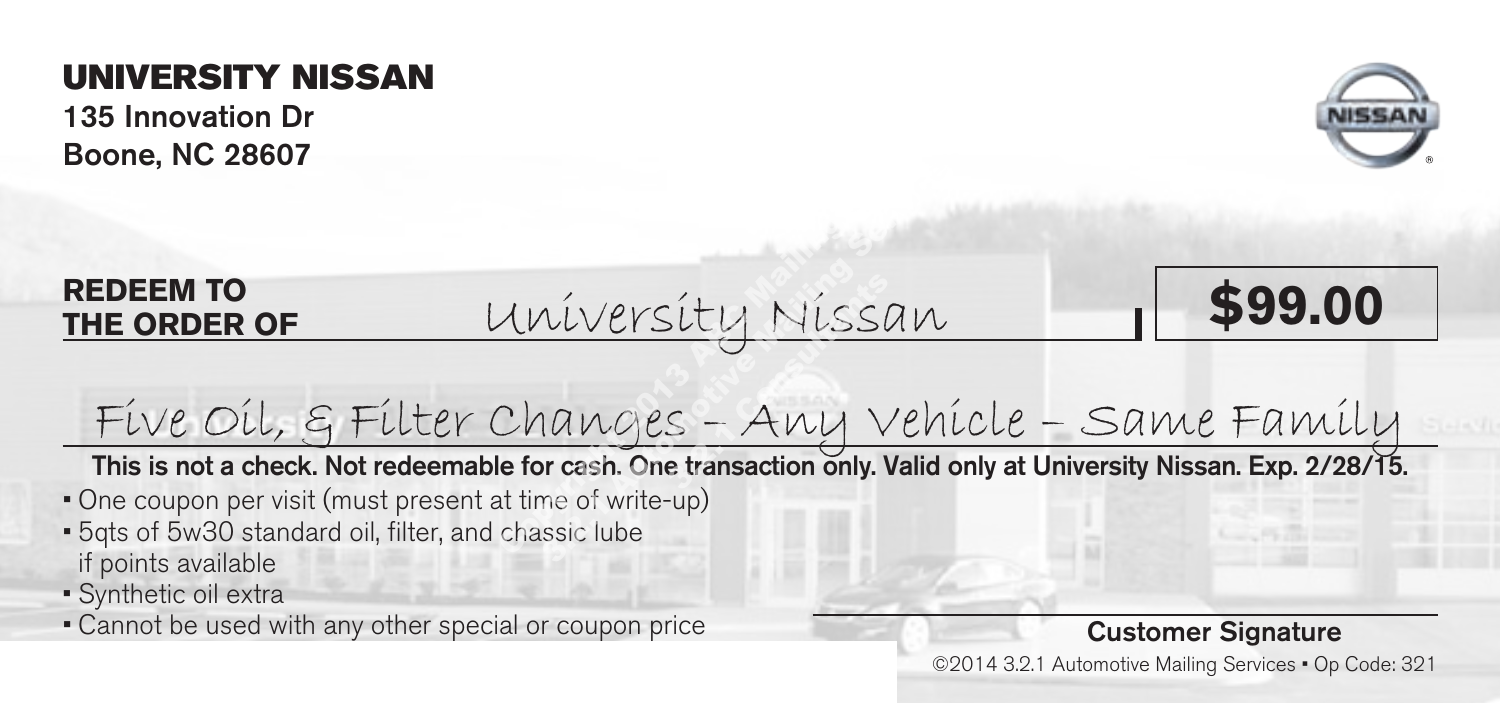135 Innovation Dr Boone, NC 28607



#### **REDEEM TO THE ORDER OF**

University Nissan **\$99.00** Iniversity Nissan<br>Changes - Any Vehic<br>Le for cash. One transaction only. Valid only<br>at time of write-up)<br>chassic lube <u>síty Níssi</u><br>S – AWY V<br>e transaction only. I



Five Oil, & Filter Changes – Any Vehicle – Same Family

This is not a check. Not redeemable for cash. One transaction only. Valid only at University Nissan. Exp. 2/28/15.

- One coupon per visit (must present at time of write-up)
- 5qts of 5w30 standard oil, filter, and chassic lube if points available
- Synthetic oil extra
- Cannot be used with any other special or coupon price

#### Customer Signature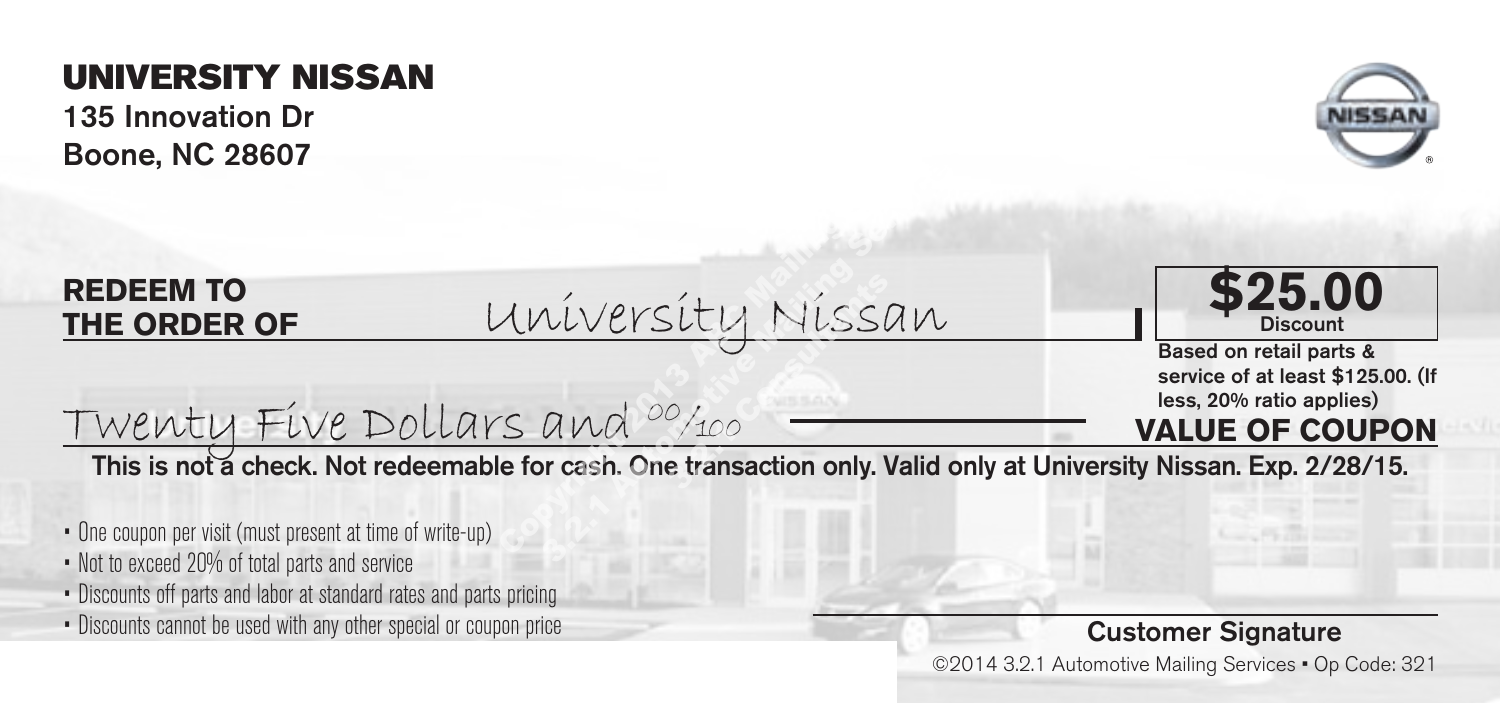135 Innovation Dr Boone, NC 28607



#### **REDEEM TO THE ORDER OF**

University Nissan <u>Iniversity Nissan</u><br>Compute Mail 2014 Allian<br>Copyright 2014 Apple <del>Co</del>pyright Contraction only. Valid only <u>síty Níssi</u><br><sup>0/100</sup><br>e transaction only. I



**VALUE OF COUPON** Based on retail parts & service of at least \$125.00. (If<br>less, 20% ratio applies)

Twenty Five Dollars and 00/100

This is not a check. Not redeemable for cash. One transaction only. Valid only at University Nissan. Exp. 2/28/15.

- One coupon per visit (must present at time of write-up)
- Not to exceed 20% of total parts and service
- Discounts off parts and labor at standard rates and parts pricing
- Discounts cannot be used with any other special or coupon price

#### Customer Signature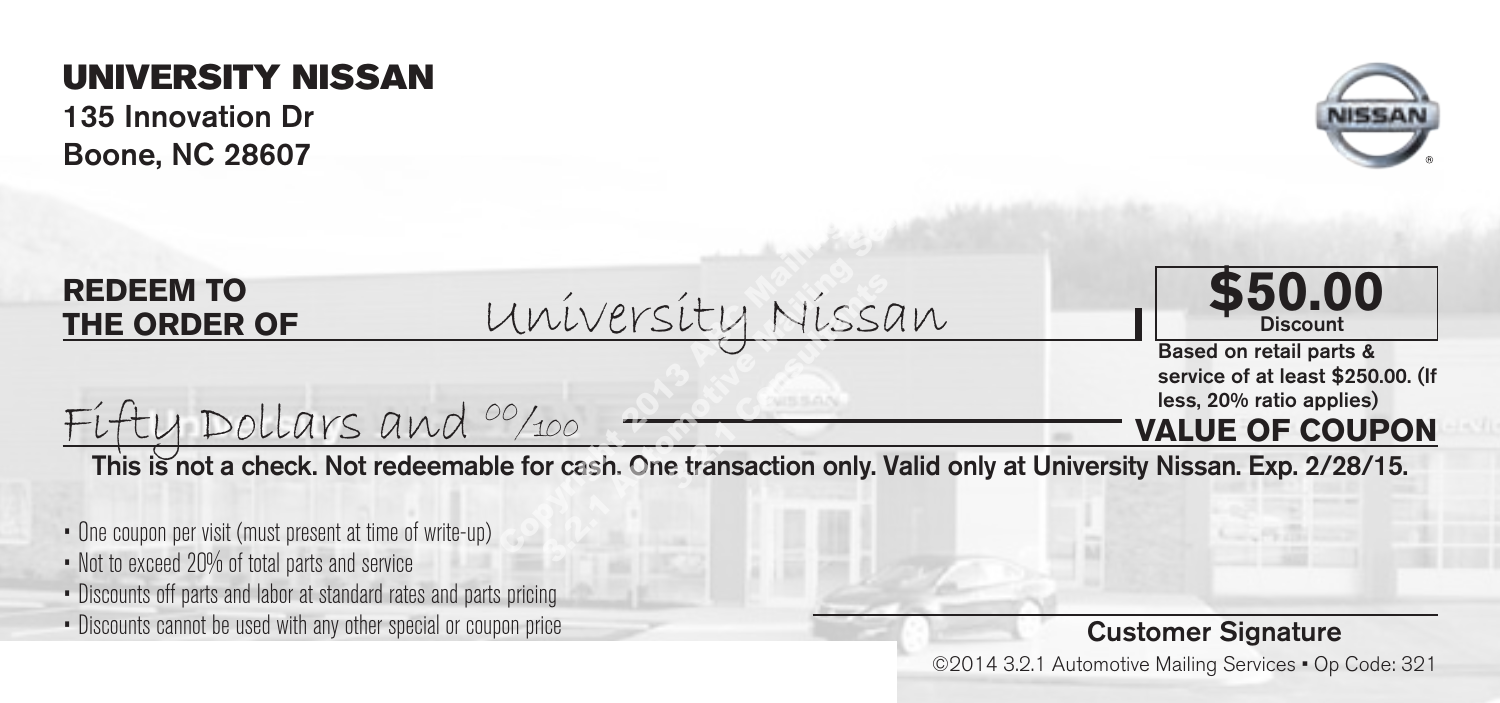135 Innovation Dr Boone, NC 28607



#### **REDEEM TO THE ORDER OF**

University Nissan **\$50.00** <u>Mníversíty Níssan</u><br><sup>00</sup>/100 - <u>Communistical Mail</u><br>**Explore the transaction only. Valid onl** <u>Viversity Nissan</u><br>100 - The transaction only. Valid only<br>100 - The transaction only. Valid only <u>sity</u> Nissi<br>transaction only.



Based on retail parts & service of at least \$250.00. (If<br>less, 20% ratio applies)

#### **VALUE OF COUPON**

This is not a check. Not redeemable for cash. One transaction only. Valid only at University Nissan. Exp. 2/28/15.

- One coupon per visit (must present at time of write-up)
- Not to exceed 20% of total parts and service
- Discounts off parts and labor at standard rates and parts pricing

Fifty Dollars and  $^{00}/_{100}$ 

• Discounts cannot be used with any other special or coupon price

#### Customer Signature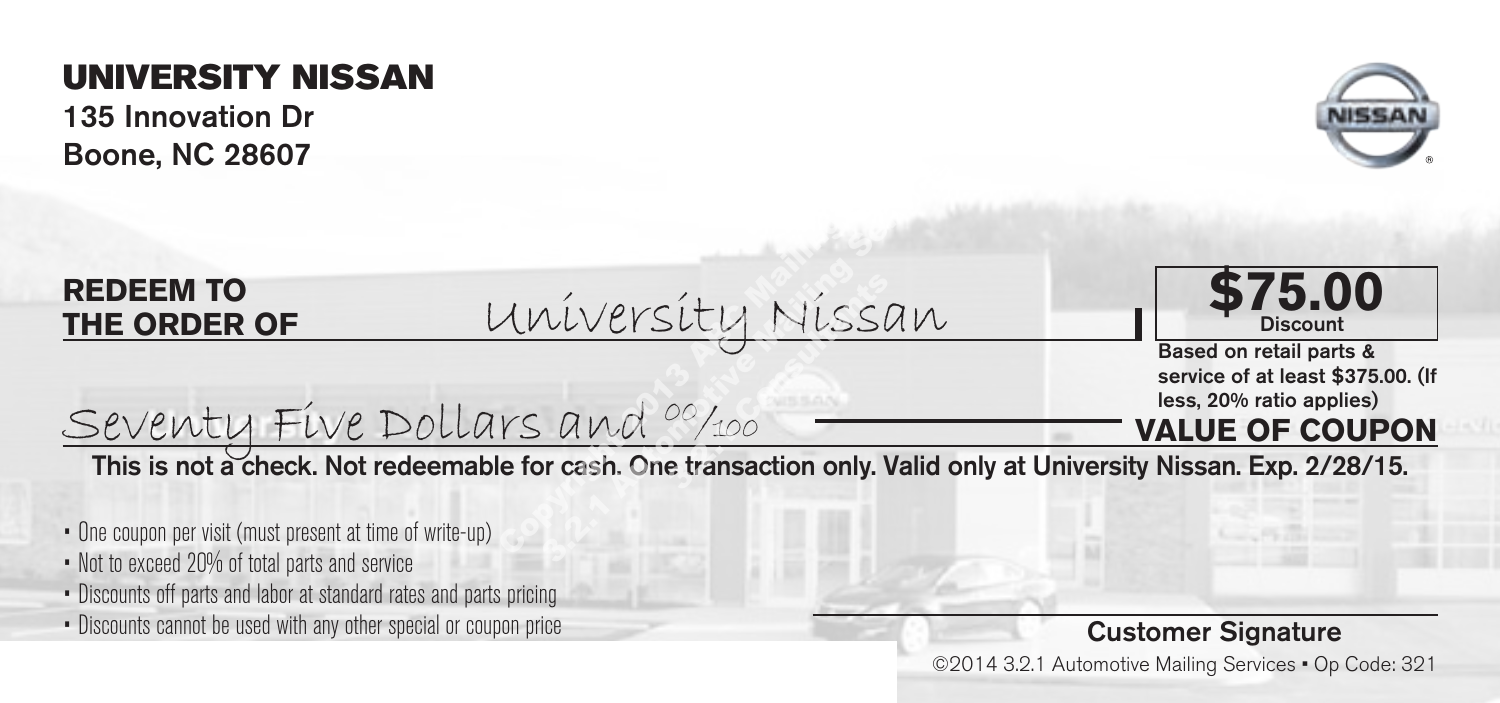135 Innovation Dr Boone, NC 28607



#### **REDEEM TO THE ORDER OF**

University Nissan Based on retail parts & <u>Iniversity Missan</u><br><u>rs and <sup>00</sup>/100</u><br>Le for cash. One transaction only. Valid onl <u>Viversity Nissan</u><br>2010 Missan<br>3.2.1 Automotive Maria Services<br>3.2.1 Automotive Valid Only <u>síty Níssi</u><br>00/100 —<br>e transaction only. I



service of at least \$375.00. (If less, 20% ratio applies)

#### **VALUE OF COUPON**

This is not a check. Not redeemable for cash. One transaction only. Valid only at University Nissan. Exp. 2/28/15.

- One coupon per visit (must present at time of write-up)
- Not to exceed 20% of total parts and service
- Discounts off parts and labor at standard rates and parts pricing

Seventy Five Dollars and 00/100

• Discounts cannot be used with any other special or coupon price

#### Customer Signature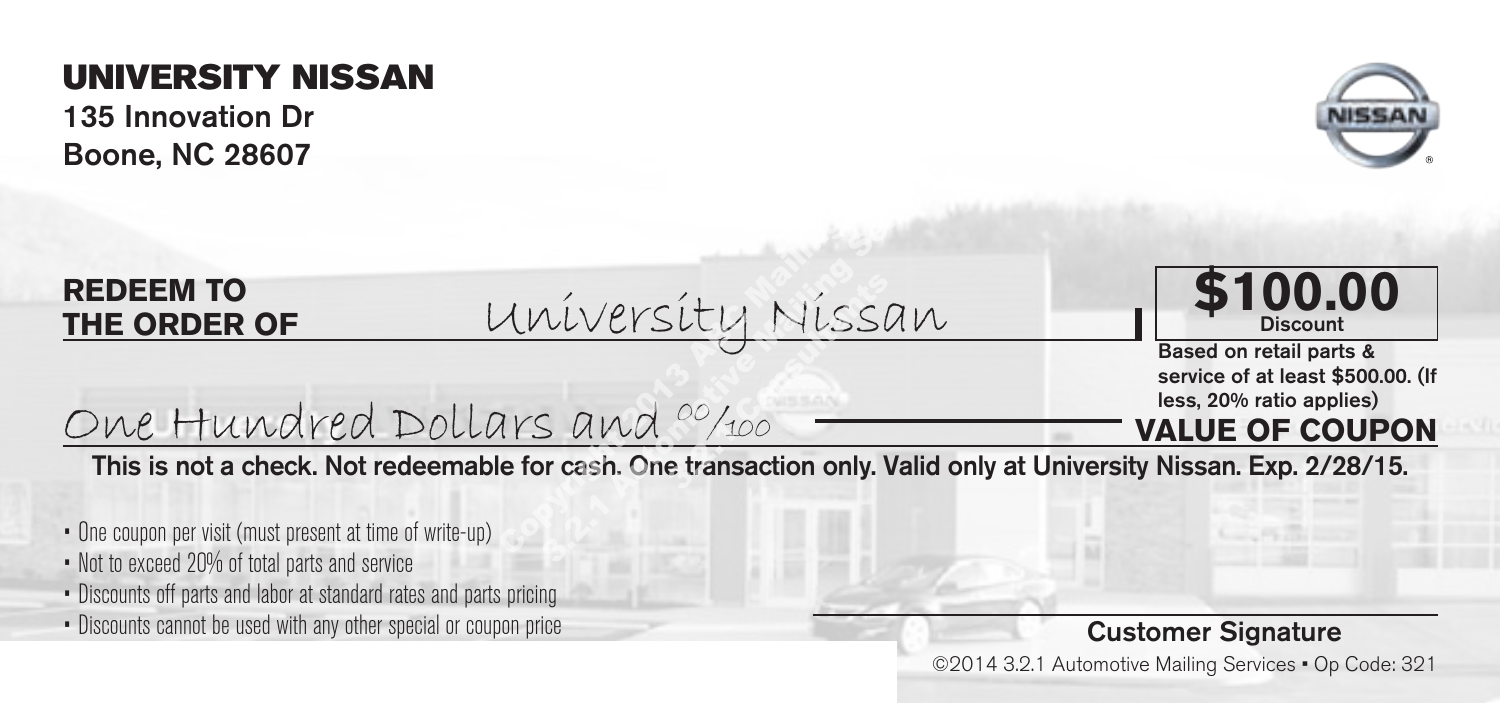135 Innovation Dr Boone, NC 28607



#### **REDEEM TO THE ORDER OF**

University Nissan Based on retail parts & <u>University Nissan</u><br>2013 And <sup>00</sup>/100<br>**Example for cash. One transaction only. Valid onl** <u>Viversity Nissan</u><br>3. and <sup>00</sup>/100<br>reash. One transaction only. Valid only <u>síty Níssi</u><br><sup>00</sup>/100 —<br>e transaction only.



service of at least \$500.00. (If less, 20% ratio applies)

#### **VALUE OF COUPON**

This is not a check. Not redeemable for cash. One transaction only. Valid only at University Nissan. Exp. 2/28/15.

- One coupon per visit (must present at time of write-up)
- Not to exceed 20% of total parts and service
- Discounts off parts and labor at standard rates and parts pricing

One Hundred Dollars and 00/100

• Discounts cannot be used with any other special or coupon price

#### Customer Signature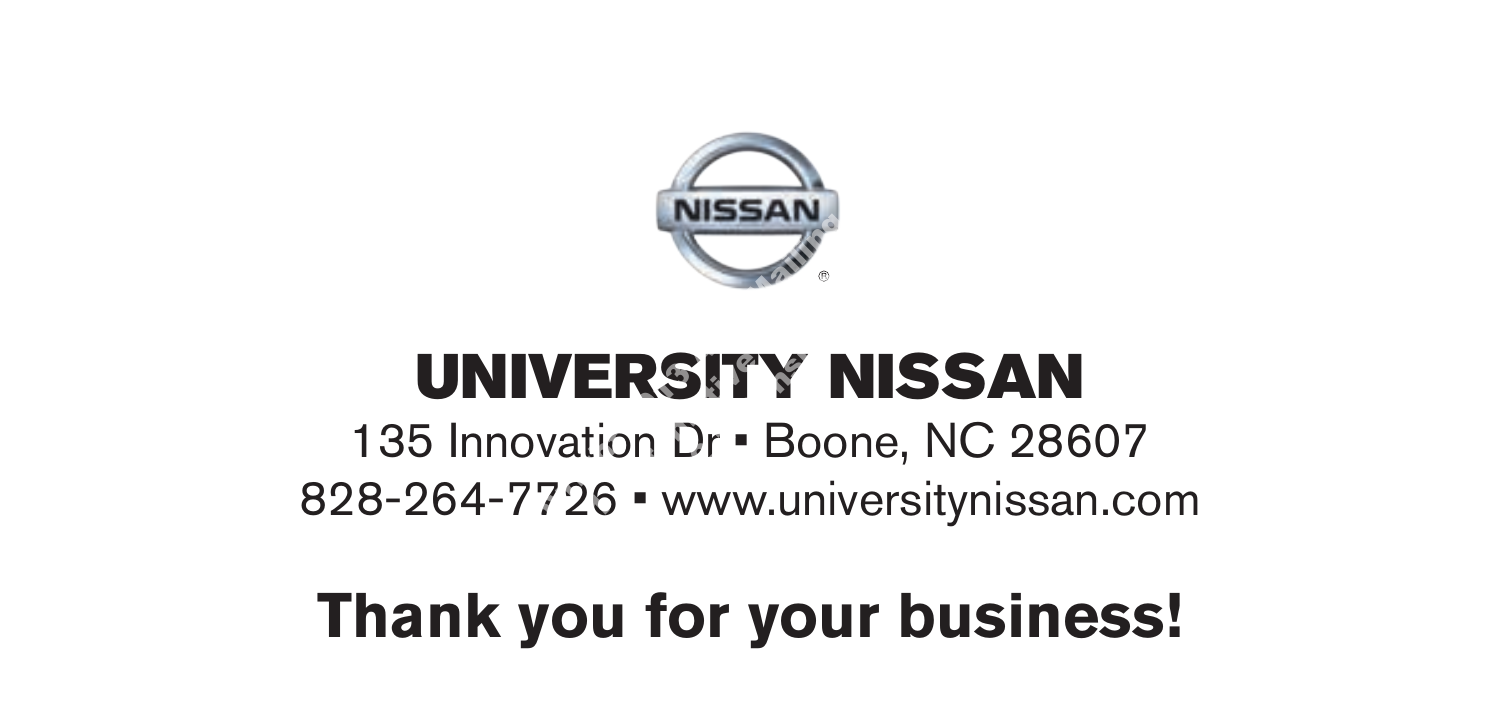

135 Innovation Dr • Boone, NC 28607 828-264-7726 • www.universitynissan.com NISSAN<br>IVERSITY NISS<br>Novation Dr · Boone, NC<br>2726 · www.universityr NISSAN<br>VERSITY NISS<br>Vation Dr · Boone, NC<br>726 · www.universityn **SITY NI**<br>Dr - Boone

# **Thank you for your business!**